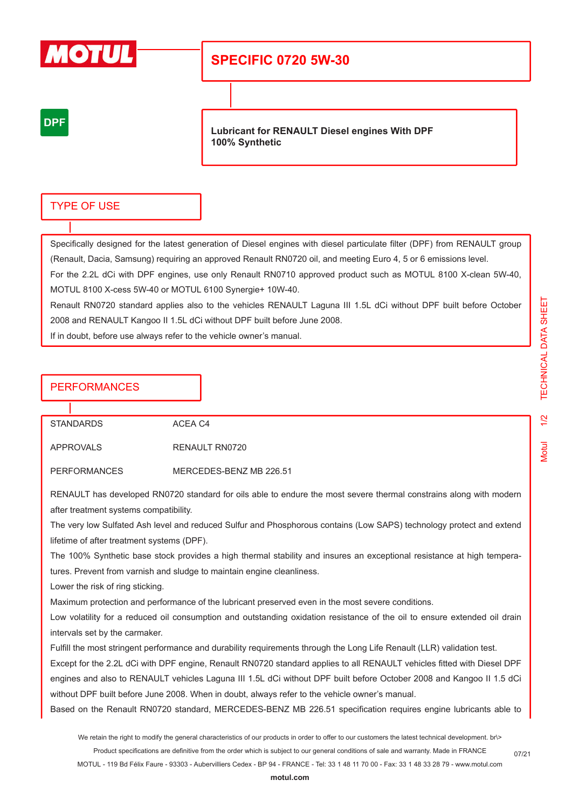

# **SPECIFIC 0720 5W-30**

## **DPF**

**Lubricant for RENAULT Diesel engines With DPF 100% Synthetic**

## TYPE OF USE

Specifically designed for the latest generation of Diesel engines with diesel particulate filter (DPF) from RENAULT group (Renault, Dacia, Samsung) requiring an approved Renault RN0720 oil, and meeting Euro 4, 5 or 6 emissions level. For the 2.2L dCi with DPF engines, use only Renault RN0710 approved product such as MOTUL 8100 X-clean 5W-40, MOTUL 8100 X-cess 5W-40 or MOTUL 6100 Synergie+ 10W-40.

Renault RN0720 standard applies also to the vehicles RENAULT Laguna III 1.5L dCi without DPF built before October 2008 and RENAULT Kangoo II 1.5L dCi without DPF built before June 2008.

If in doubt, before use always refer to the vehicle owner's manual.

## **PERFORMANCES**

STANDARDS ACEA C4

APPROVALS RENAULT RN0720

PERFORMANCES MERCEDES-BENZ MB 226.51

RENAULT has developed RN0720 standard for oils able to endure the most severe thermal constrains along with modern after treatment systems compatibility.

The very low Sulfated Ash level and reduced Sulfur and Phosphorous contains (Low SAPS) technology protect and extend lifetime of after treatment systems (DPF).

The 100% Synthetic base stock provides a high thermal stability and insures an exceptional resistance at high temperatures. Prevent from varnish and sludge to maintain engine cleanliness.

Lower the risk of ring sticking.

Maximum protection and performance of the lubricant preserved even in the most severe conditions.

Low volatility for a reduced oil consumption and outstanding oxidation resistance of the oil to ensure extended oil drain intervals set by the carmaker.

Fulfill the most stringent performance and durability requirements through the Long Life Renault (LLR) validation test.

Except for the 2.2L dCi with DPF engine, Renault RN0720 standard applies to all RENAULT vehicles fitted with Diesel DPF engines and also to RENAULT vehicles Laguna III 1.5L dCi without DPF built before October 2008 and Kangoo II 1.5 dCi without DPF built before June 2008. When in doubt, always refer to the vehicle owner's manual.

Based on the Renault RN0720 standard, MERCEDES-BENZ MB 226.51 specification requires engine lubricants able to

We retain the right to modify the general characteristics of our products in order to offer to our customers the latest technical development. br\> Product specifications are definitive from the order which is subject to our general conditions of sale and warranty. Made in FRANCE

MOTUL - 119 Bd Félix Faure - 93303 - Aubervilliers Cedex - BP 94 - FRANCE - Tel: 33 1 48 11 70 00 - Fax: 33 1 48 33 28 79 - www.motul.com

07/21